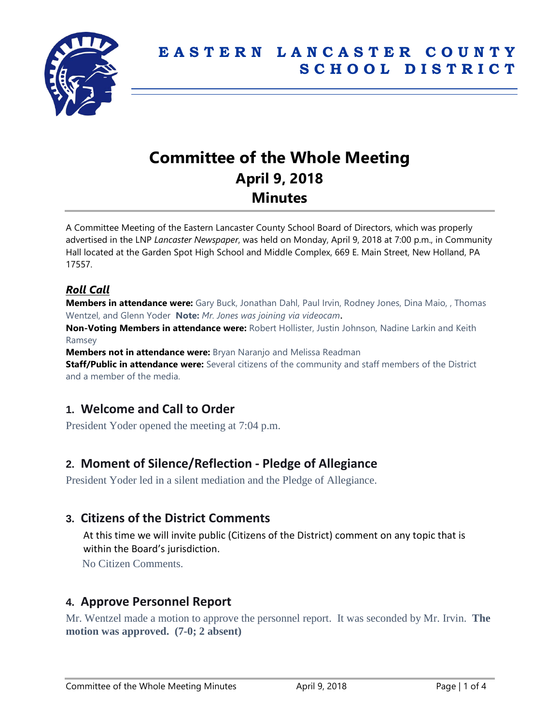

# **Committee of the Whole Meeting April 9, 2018 Minutes**

A Committee Meeting of the Eastern Lancaster County School Board of Directors, which was properly advertised in the LNP *Lancaster Newspaper*, was held on Monday, April 9, 2018 at 7:00 p.m., in Community Hall located at the Garden Spot High School and Middle Complex, 669 E. Main Street, New Holland, PA 17557.

## *Roll Call*

**Members in attendance were:** Gary Buck, Jonathan Dahl, Paul Irvin, Rodney Jones, Dina Maio, , Thomas Wentzel, and Glenn Yoder **Note:** *Mr. Jones was joining via videocam*.

**Non-Voting Members in attendance were:** Robert Hollister, Justin Johnson, Nadine Larkin and Keith Ramsey

**Members not in attendance were:** Bryan Naranjo and Melissa Readman

**Staff/Public in attendance were:** Several citizens of the community and staff members of the District and a member of the media.

# **1. Welcome and Call to Order**

President Yoder opened the meeting at 7:04 p.m.

# **2. Moment of Silence/Reflection - Pledge of Allegiance**

President Yoder led in a silent mediation and the Pledge of Allegiance.

# **3. Citizens of the District Comments**

At this time we will invite public (Citizens of the District) comment on any topic that is within the Board's jurisdiction.

No Citizen Comments.

# **4. Approve Personnel Report**

Mr. Wentzel made a motion to approve the personnel report. It was seconded by Mr. Irvin. **The motion was approved. (7-0; 2 absent)**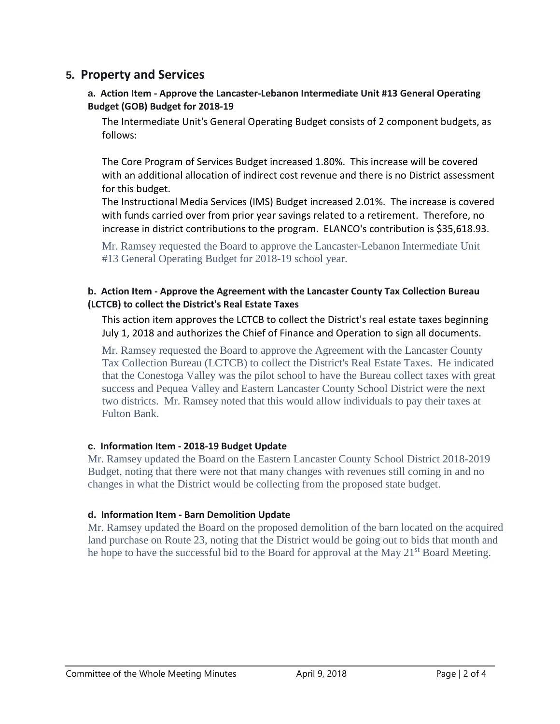# **5. Property and Services**

## **a. Action Item - Approve the Lancaster-Lebanon Intermediate Unit #13 General Operating Budget (GOB) Budget for 2018-19**

The Intermediate Unit's General Operating Budget consists of 2 component budgets, as follows:

The Core Program of Services Budget increased 1.80%. This increase will be covered with an additional allocation of indirect cost revenue and there is no District assessment for this budget.

The Instructional Media Services (IMS) Budget increased 2.01%. The increase is covered with funds carried over from prior year savings related to a retirement. Therefore, no increase in district contributions to the program. ELANCO's contribution is \$35,618.93.

Mr. Ramsey requested the Board to approve the Lancaster-Lebanon Intermediate Unit #13 General Operating Budget for 2018-19 school year.

## **b. Action Item - Approve the Agreement with the Lancaster County Tax Collection Bureau (LCTCB) to collect the District's Real Estate Taxes**

This action item approves the LCTCB to collect the District's real estate taxes beginning July 1, 2018 and authorizes the Chief of Finance and Operation to sign all documents.

Mr. Ramsey requested the Board to approve the Agreement with the Lancaster County Tax Collection Bureau (LCTCB) to collect the District's Real Estate Taxes. He indicated that the Conestoga Valley was the pilot school to have the Bureau collect taxes with great success and Pequea Valley and Eastern Lancaster County School District were the next two districts. Mr. Ramsey noted that this would allow individuals to pay their taxes at Fulton Bank.

## **c. Information Item - 2018-19 Budget Update**

Mr. Ramsey updated the Board on the Eastern Lancaster County School District 2018-2019 Budget, noting that there were not that many changes with revenues still coming in and no changes in what the District would be collecting from the proposed state budget.

## **d. Information Item - Barn Demolition Update**

Mr. Ramsey updated the Board on the proposed demolition of the barn located on the acquired land purchase on Route 23, noting that the District would be going out to bids that month and he hope to have the successful bid to the Board for approval at the May 21<sup>st</sup> Board Meeting.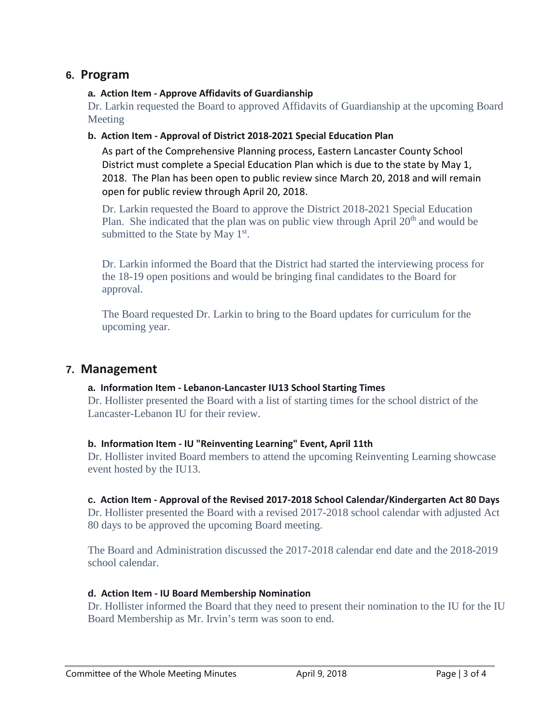## **6. Program**

## **a. Action Item - Approve Affidavits of Guardianship**

Dr. Larkin requested the Board to approved Affidavits of Guardianship at the upcoming Board Meeting

## **b. Action Item - Approval of District 2018-2021 Special Education Plan**

As part of the Comprehensive Planning process, Eastern Lancaster County School District must complete a Special Education Plan which is due to the state by May 1, 2018. The Plan has been open to public review since March 20, 2018 and will remain open for public review through April 20, 2018.

Dr. Larkin requested the Board to approve the District 2018-2021 Special Education Plan. She indicated that the plan was on public view through April 20<sup>th</sup> and would be submitted to the State by May  $1<sup>st</sup>$ .

Dr. Larkin informed the Board that the District had started the interviewing process for the 18-19 open positions and would be bringing final candidates to the Board for approval.

The Board requested Dr. Larkin to bring to the Board updates for curriculum for the upcoming year.

# **7. Management**

## **a. Information Item - Lebanon-Lancaster IU13 School Starting Times**

Dr. Hollister presented the Board with a list of starting times for the school district of the Lancaster-Lebanon IU for their review.

## **b. Information Item - IU "Reinventing Learning" Event, April 11th**

Dr. Hollister invited Board members to attend the upcoming Reinventing Learning showcase event hosted by the IU13.

## **c. Action Item - Approval of the Revised 2017-2018 School Calendar/Kindergarten Act 80 Days**

Dr. Hollister presented the Board with a revised 2017-2018 school calendar with adjusted Act 80 days to be approved the upcoming Board meeting.

The Board and Administration discussed the 2017-2018 calendar end date and the 2018-2019 school calendar.

## **d. Action Item - IU Board Membership Nomination**

Dr. Hollister informed the Board that they need to present their nomination to the IU for the IU Board Membership as Mr. Irvin's term was soon to end.